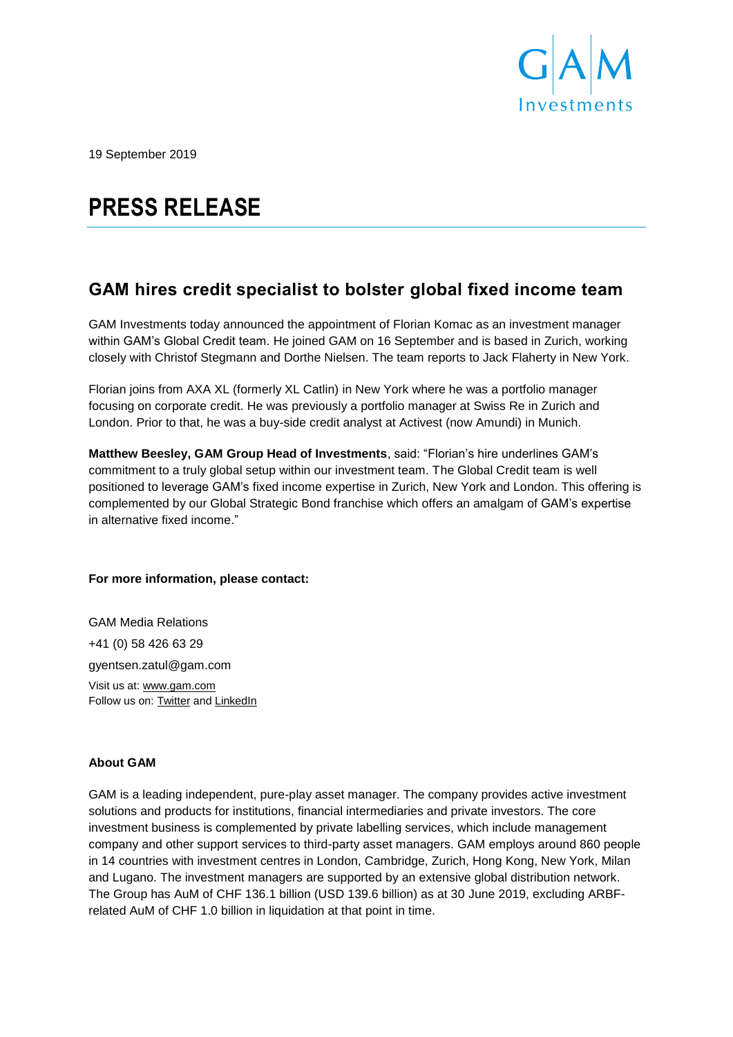

19 September 2019

# **PRESS RELEASE**

## **GAM hires credit specialist to bolster global fixed income team**

GAM Investments today announced the appointment of Florian Komac as an investment manager within GAM's Global Credit team. He joined GAM on 16 September and is based in Zurich, working closely with Christof Stegmann and Dorthe Nielsen. The team reports to Jack Flaherty in New York.

Florian joins from AXA XL (formerly XL Catlin) in New York where he was a portfolio manager focusing on corporate credit. He was previously a portfolio manager at Swiss Re in Zurich and London. Prior to that, he was a buy-side credit analyst at Activest (now Amundi) in Munich.

**Matthew Beesley, GAM Group Head of Investments**, said: "Florian's hire underlines GAM's commitment to a truly global setup within our investment team. The Global Credit team is well positioned to leverage GAM's fixed income expertise in Zurich, New York and London. This offering is complemented by our Global Strategic Bond franchise which offers an amalgam of GAM's expertise in alternative fixed income."

### **For more information, please contact:**

GAM Media Relations +41 (0) 58 426 63 29 gyentsen.zatul@gam.com Visit us at: [www.gam.com](http://www.gam.com/) Follow us on[: Twitter](https://twitter.com/gaminsights) an[d LinkedIn](https://www.linkedin.com/company/gam?trk=company_logo)

### **About GAM**

GAM is a leading independent, pure-play asset manager. The company provides active investment solutions and products for institutions, financial intermediaries and private investors. The core investment business is complemented by private labelling services, which include management company and other support services to third-party asset managers. GAM employs around 860 people in 14 countries with investment centres in London, Cambridge, Zurich, Hong Kong, New York, Milan and Lugano. The investment managers are supported by an extensive global distribution network. The Group has AuM of CHF 136.1 billion (USD 139.6 billion) as at 30 June 2019, excluding ARBFrelated AuM of CHF 1.0 billion in liquidation at that point in time.